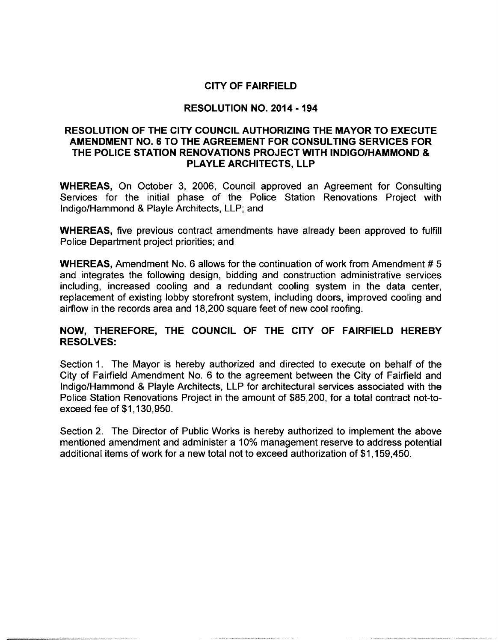# CITY OF FAIRFIELD

## RESOLUTION NO. 2014 - 194

## RESOLUTION OF THE CITY COUNCIL AUTHORIZING THE MAYOR TO EXECUTE AMENDMENT NO. 6 TO THE AGREEMENT FOR CONSULTING SERVICES FOR THE POLICE STATION RENOVATIONS PROJECT WITH INDIGO/HAMMOND & PLAYLE ARCHITECTS, LLP

WHEREAS, On October 3, 2006, Council approved an Agreement for Consulting Services for the initial phase of the Police Station Renovations Project with Indigo/Hammond & Playle Architects, LLP; and

WHEREAS, five previous contract amendments have already been approved to fulfill Police Department project priorities; and

WHEREAS, Amendment No. 6 allows for the continuation of work from Amendment #5 and integrates the following design, bidding and construction administrative services including, increased cooling and a redundant cooling system in the data center, replacement of existing lobby storefront system, including doors, improved cooling and airflow in the records area and 18,200 square feet of new cool roofing.

## NOW, THEREFORE, THE COUNCIL OF THE CITY OF FAIRFIELD HEREBY RESOLVES:

Section 1. The Mayor is hereby authorized and directed to execute on behalf of the City of Fairfield Amendment No. <sup>6</sup> to the agreement between the City of Fairfield and Indigo/Hammond & Playle Architects, LLP for architectural services associated with the Police Station Renovations Project in the amount of \$85,200, for a total contract not-to-<br>exceed fee of \$1,130,950. Police Station Renovations Project in the amount of \$85,200, for a total contract not-to-<br>exceed fee of \$1,130,950.

Section 2. The Director of Public Works is hereby authorized to implement the above mentioned amendment and administer <sup>a</sup> 10% management reserve to address potential Section 2. The Director of Public Works is hereby authorized to implement the amentioned amendment and administer a 10% management reserve to address pot additional items of work for a new total not to exceed authorization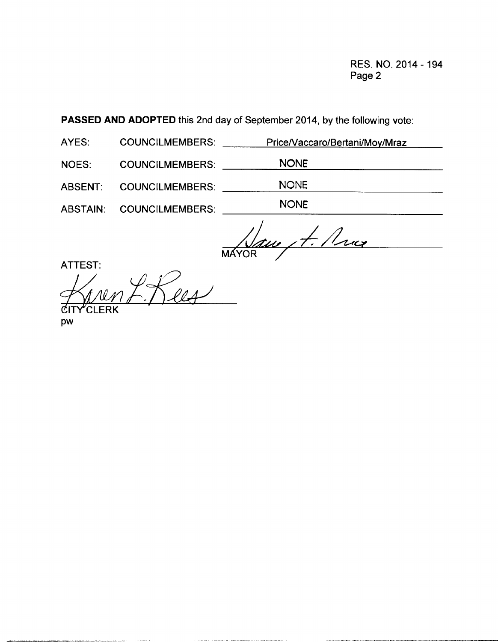RES. NO. 2014 - 194 Page 2

PASSED AND ADOPTED this 2nd day of September 2014, by the following vote:

| AYES: | <b>COUNCILMEMBERS:</b> | Price/Vaccaro/Bertani/Moy/Mraz |
|-------|------------------------|--------------------------------|
|-------|------------------------|--------------------------------|

NOES: COUNCILMEMBERS: NONE

ABSENT: COUNCILMEMBERS: NONE

ABSTAIN: COUNCILMEMBERS: NONE

A. Mux **MAYOR** 

ATTEST:

ITY<sup>c</sup>LERK

pw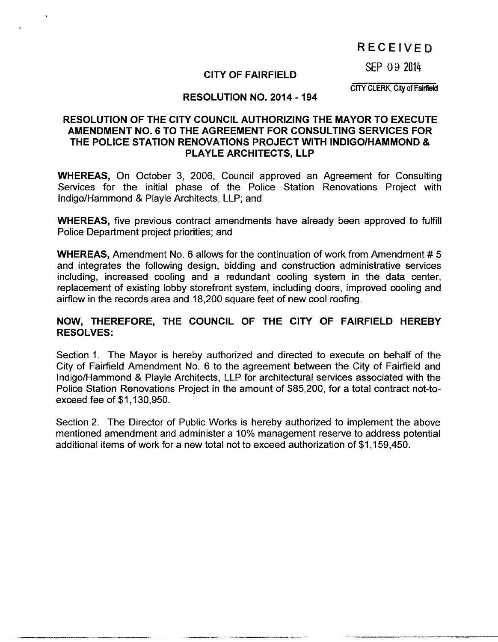# RECEIVED

SEP 09 2014

## CITY OF FAIRFIELD

CITY CLERK, City of Fairfield

## RESOLUTION NO. 2014 - 194

# RESOLUTION OF THE CITY COUNCIL AUTHORIZING THE MAYOR TO EXECUTE AMENDMENT NO. 6 TO THE AGREEMENT FOR CONSULTING SERVICES FOR THE POLICE STATION RENOVATIONS PROJECT WITH INDIGO/HAMMOND & PLAYLE ARCHITECTS, LLP

WHEREAS, On October 3, 2006, Council approved an Agreement for Consulting Services for the initial phase of the Police Station Renovations Project with Indigo/Hammond & Playle Architects, LLP; and

WHEREAS, five previous contract amendments have already been approved to fulfill Police Department project priorities; and

WHEREAS, Amendment No. 6 allows for the continuation of work from Amendment #5 and integrates the following design, bidding and construction administrative services including, increased cooling and a redundant cooling system in the data center, replacement of existing lobby storefront system, including doors, improved cooling and airflow in the records area and 18,200 square feet of new cool roofing.

## NOW, THEREFORE, THE COUNCIL OF THE CITY OF FAIRFIELD HEREBY RESOLVES:

Section 1. The Mayor is hereby authorized and directed to execute on behalf of the City of Fairfield Amendment No. 6 to the agreement between the City of Fairfield and Indigo/Hammond & Playle Architects, LLP for architectural services associated with the Police Station Renovations Project in the amount of \$85,200, for a total contract not-to-<br>exceed fee of \$1,130,950. Police Station Renovations Project in the amount of \$85,200, for a total contract not-to-<br>exceed fee of \$1,130,950.

Section 2. The Director of Public Works is hereby authorized to implement the above mentioned amendment and administer <sup>a</sup> 10% management reserve to address potential Section 2. The Director of Public Works is hereby authorized to implement the amentioned amendment and administer a 10% management reserve to address pot additional items of work for a new total not to exceed authorization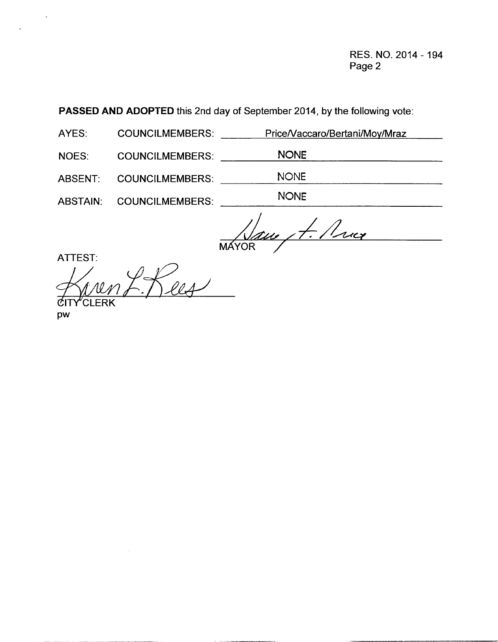RES. NO. 2014 - 194 Page 2

| <b>PASSED AND ADOPTED</b> this 2nd day of September 2014, by the following vote: |                        |                                |  |  |  |  |  |  |
|----------------------------------------------------------------------------------|------------------------|--------------------------------|--|--|--|--|--|--|
| AYES:                                                                            | <b>COUNCILMEMBERS:</b> | Price/Vaccaro/Bertani/Moy/Mraz |  |  |  |  |  |  |

NOES: COUNCILMEMBERS: NONE

ABSENT: COUNCILMEMBERS: NONE

ABSTAIN: COUNCILMEMBERS: NONE

Naue, 4. Price

ATTEST:

 $\ddot{\phantom{a}}$ 

ICI ERK Ree

pw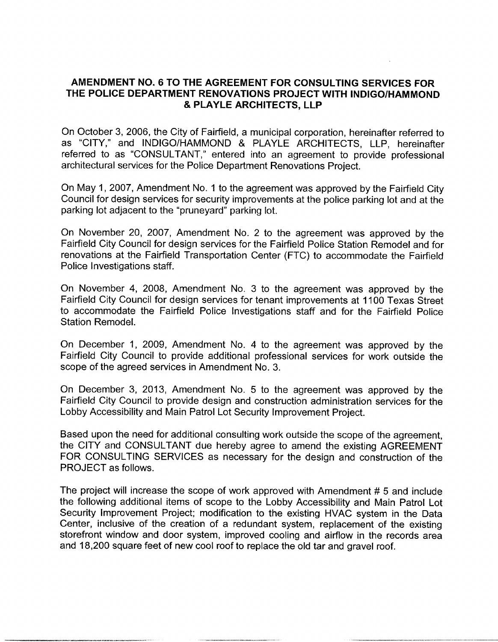## AMENDMENT NO. 6 TO THE AGREEMENT FOR CONSULTING SERVICES FOR THE POLICE DEPARTMENT RENOVATIONS PROJECT WITH INDIGO/HAMMOND PLAYLE ARCHITECTS, LLP

On October 3, 2006, the City of Fairfield, <sup>a</sup> municipal corporation, hereinafter referred to as "CITY," and INDIGO/HAMMOND & PLAYLE ARCHITECTS, LLP, hereinafter referred to as "CONSULTANT," entered into an agreement to provide professional architectural services for the Police Department Renovations Project.

On May 1, 2007, Amendment No. <sup>1</sup> to the agreement was approved by the Fairfield City Council for design services for security improvements at the police parking lot and at the parking lot adjacent to the "pruneyard" parking lot.

On November 20, 2007, Amendment No. <sup>2</sup> to the agreement was approved by the Fairfield City Council for design services for the Fairfield Police Station Remodel and for renovations at the Fairfield Transportation Center (FTC) to accommodate the Fairfield Police Investigations staff.

On November 4, 2008, Amendment No. 3 to the agreement was approved by the Fairfield City Council for design services for tenant improvements at 1100 Texas Street to accommodate the Fairfield Police Investigations staff and for the Fairfield Police Station Remodel.

On December 1, 2009, Amendment No. <sup>4</sup> to the agreement was approved by the Fairfield City Council to provide additional professional services for work outside the scope of the agreed services in Amendment No. 3.

On December 3, 2013, Amendment No. <sup>5</sup> to the agreement was approved by the Fairfield City Council to provide design and construction administration services for the Lobby Accessibility and Main Patrol Lot Security Improvement Project.

Based upon the need for additional consulting work outside the scope of the agreement, the CITY and CONSULTANT due hereby agree to amend the existing AGREEMENT FOR CONSULTING SERVICES as necessary for the design and construction of the PROJECT as follows.

The project will increase the scope of work approved with Amendment  $# 5$  and include the following additional items of scope to the Lobby Accessibility and Main Patrol Lot Security Improvement Project; modification to the existing HVAC system in the Data Center, inclusive of the creation of <sup>a</sup> redundant system, replacement of the existing storefront window and door system, improved cooling and airflow in the records area and 18,200 square feet of new cool roof to replace the old tar and gravel roof.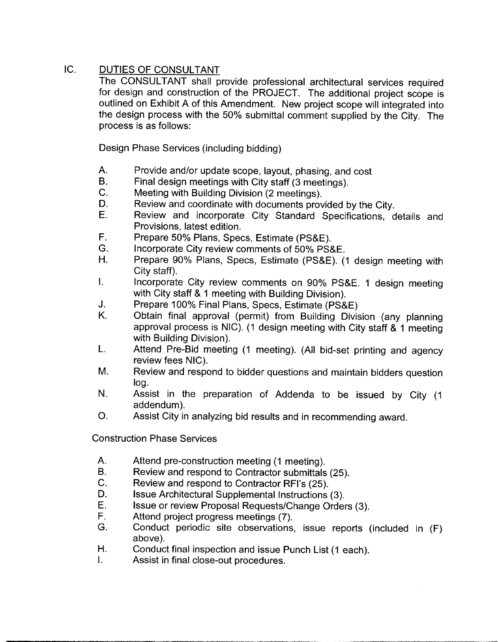# IC. DUTIES OF CONSULTANT

The CONSULTANT shall provide professional architectural services required for design and construction of the PROJECT. The additional project scope is outlined on Exhibit A of this Amendment. New project scope will integrated into the design process with the 50% submittal comment supplied by the City. The process is as follows:

Design Phase Services (including bidding)

- A. Provide and/or update scope, layout, phasing, and cost<br>B. Final design meetings with City staff (3 meetings).
- B. Final design meetings with City staff (3 meetings).<br>C. Meeting with Building Division (2 meetings).
- C. Meeting with Building Division (2 meetings).<br>D. Review and coordinate with documents prov
- D. Review and coordinate with documents provided by the City.<br>E. Review and incorporate City Standard Specifications of
- Review and incorporate City Standard Specifications, details and Provisions, latest edition.
- F. Prepare 50% Plans, Specs, Estimate (PS&E).<br>G. Incorporate City review comments of 50% PS&
- G. Incorporate City review comments of 50% PS&E.<br>H. Prepare 90% Plans. Specs. Estimate (PS&F) (
- Prepare 90% Plans, Specs, Estimate (PS&E). (1 design meeting with City staff).
- $\mathsf{L}$ Incorporate City review comments on 90% PS &E. <sup>1</sup> design meeting with City staff & 1 meeting with Building Division).
- J. Prepare 100% Final Plans, Specs, Estimate (PS&E)<br>K. Obtain final approval (permit) from Building Divis
- Obtain final approval (permit) from Building Division (any planning approval process is NIC). (1 design meeting with City staff  $& 1$  meeting with Building Division).
- L. Attend Pre-Bid meeting (1 meeting). (All bid-set printing and agency review fees NIC).
- M. Review and respond to bidder questions and maintain bidders question log.
- N. Assist in the preparation of Addenda to be issued by City (1 addendum).
- O. Assist City in analyzing bid results and in recommending award.

Construction Phase Services

- A. Attend pre-construction meeting (1 meeting).<br>B. Review and respond to Contractor submittals
- B. Review and respond to Contractor submittals (25).<br>C. Review and respond to Contractor RFI's (25)
- C. Review and respond to Contractor RFI's (25).<br>D. Issue Architectural Supplemental Instructions
- D. Issue Architectural Supplemental Instructions (3).<br>E. Issue or review Proposal Requests/Change Order
- E. Issue or review Proposal Requests/Change Orders (3).<br>F. Attend project progress meetings (7).
- F. Attend project progress meetings (7).
- Conduct periodic site observations, issue reports (included in (F) above).
- H. Conduct final inspection and issue Punch List (1 each).<br>L. Assist in final close-out procedures
- Assist in final close-out procedures.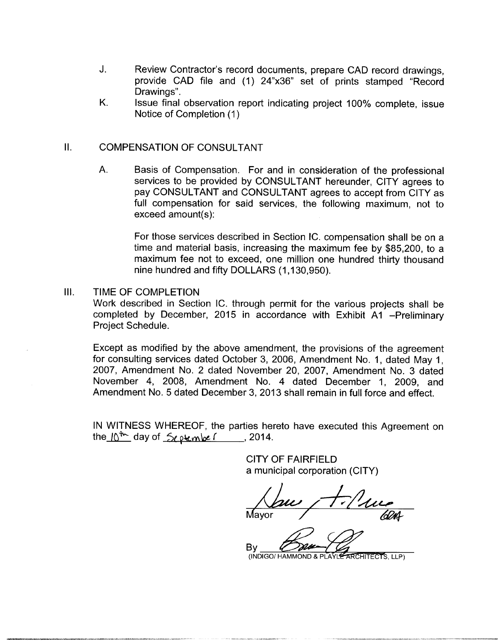- J. Review Contractor's record documents, prepare CAD record drawings, provide CAD file and (1) 24"x36" set of prints stamped "Record Drawings".
- K. Issue final observation report indicating project 100% complete, issue Notice of Completion (1)

## II. COMPENSATION OF CONSULTANT

A. Basis of Compensation. For and in consideration of the professional services to be provided by CONSULTANT hereunder, CITY agrees to pay CONSULTANT and CONSULTANT agrees to accept from CITY as full compensation for said services, the following maximum, not to bet nose to be provided<br>pay CONSULTANT and<br>full compensation for s<br>exceed amount(s):

For those services described in Section IC. compensation shall be on <sup>a</sup> time and material basis, increasing the maximum fee by \$85,200, to <sup>a</sup> maximum fee not to exceed, one million one hundred thirty thousand not answered and material basis, increasing the maximum<br>maximum fee not to exceed, one million one hundred and fifty DOLLARS (1,130,950).

III. TIME OF COMPLETION Work described in Section IC. through permit for the various projects shall be completed by December, 2015 in accordance with Exhibit A1 -Preliminary Project Schedule.

Except as modified by the above amendment, the provisions of the agreement for consulting services dated October 3, 2006, Amendment No. 1, dated May 1, 2007, Amendment No. <sup>2</sup> dated November 20, 2007, Amendment No. <sup>3</sup> dated November 4, 2008, Amendment No. 4 dated December 1, 2009, and Amendment No. <sup>5</sup> dated December 3, 2013 shall remain in full force and effect.

IN WITNESS WHEREOF, the parties hereto have executed this Agreement on IN WITNESS WHEREOF, the parties her<br>the\_I∆<sup>t</sup>^\_ day of \_<del>∑ر</del> دو المعلم المسلم المسلم المسلم المسلم المسلم المسلم المسلم المسلم المسلم المسلم المسلم

> CITY OF FAIRFIELD <sup>a</sup> municipal corporation (CITY)

ayor / *GDA* 

By

(INDIGO/ HAMMOND & PLAYLE ARCHITECTS, LLP)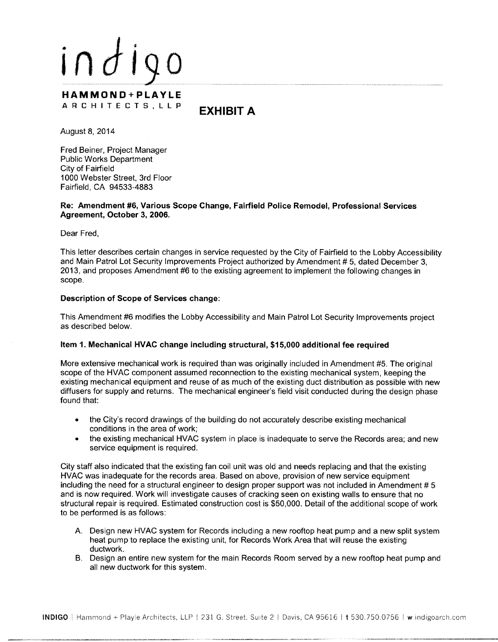

August 8, 2014

Fred Beiner, Project Manager Public Works Department City of Fairfield 1000 Webster Street, 3rd Floor Fairfield, CA 94533 -4883

### Re: Amendment #6, Various Scope Change, Fairfield Police Remodel, Professional Services Agreement, October 3, 2006.

Dear Fred,

This letter describes certain changes in service requested by the City of Fairfield to the Lobby Accessibility and Main Patrol Lot Security Improvements Project authorized by Amendment # 5, dated December 3, 2013, and proposes Amendment #6 to the existing agreement to implement the following changes in scope.

### Description of Scope of Services change:

This Amendment #6 modifies the Lobby Accessibility and Main Patrol Lot Security Improvements project as described below.

### Item 1. Mechanical HVAC change including structural, \$15,000 additional fee required

More extensive mechanical work is required than was originally included in Amendment #5. The original scope of the HVAC component assumed reconnection to the existing mechanical system, keeping the existing mechanical equipment and reuse of as much of the existing duct distribution as possible with new diffusers for supply and returns. The mechanical engineer's field visit conducted during the design phase found that:

- the City's record drawings of the building do not accurately describe existing mechanical conditions in the area of work;
- the existing mechanical HVAC system in place is inadequate to serve the Records area; and new service equipment is required.

City staff also indicated that the existing fan coil unit was old and needs replacing and that the existing HVAC was inadequate for the records area. Based on above, provision of new service equipment including the need for a structural engineer to design proper support was not included in Amendment # 5 and is now required. Work will investigate causes of cracking seen on existing walls to ensure that no structural repair is required. Estimated construction cost is \$50,000. Detail of the additional scope of work to be performed is as follows:

- A. Design new HVAC system for Records including <sup>a</sup> new rooftop heat pump and <sup>a</sup> new split system heat pump to replace the existing unit, for Records Work Area that will reuse the existing ductwork.
- B. Design an entire new system for the main Records Room served by <sup>a</sup> new rooftop heat pump and all new ductwork for this system.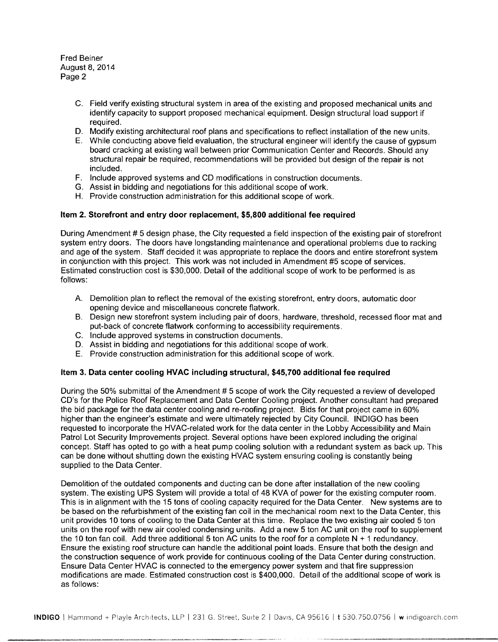Fred Beiner August 8, 2014 Page 2

- C. Field verify existing structural system in area of the existing and proposed mechanical units and identify capacity to support proposed mechanical equipment. Design structural load support if required.
- D. Modify existing architectural roof plans and specifications to reflect installation of the new units.
- E. While conducting above field evaluation, the structural engineer will identify the cause of gypsum board cracking at existing wall between prior Communication Center and Records. Should any structural repair be required, recommendations will be provided but design of the repair is not included.
- F. Include approved systems and CD modifications in construction documents.
- G. Assist in bidding and negotiations for this additional scope of work.
- H. Provide construction administration for this additional scope of work.

### Item 2. Storefront and entry door replacement, \$5,800 additional fee required

During Amendment #5 design phase, the City requested a field inspection of the existing pair of storefront system entry doors. The doors have longstanding maintenance and operational problems due to racking and age of the system. Staff decided it was appropriate to replace the doors and entire storefront system in conjunction with this project. This work was not included in Amendment #5 scope of services. Estimated construction cost is \$30,000. Detail of the additional scope of work to be performed is as follows:

- A. Demolition plan to reflect the removal of the existing storefront, entry doors, automatic door opening device and miscellaneous concrete flatwork.
- B. Design new storefront system including pair of doors, hardware, threshold, recessed floor mat and put-back of concrete flatwork conforming to accessibility requirements.
- C. Include approved systems in construction documents.
- D. Assist in bidding and negotiations for this additional scope of work.
- E. Provide construction administration for this additional scope of work.

#### Item 3. Data center cooling HVAC including structural, \$45,700 additional fee required

During the 50% submittal of the Amendment #5 scope of work the City requested a review of developed CD's for the Police Roof Replacement and Data Center Cooling project. Another consultant had prepared the bid package for the data center cooling and re- roofing project. Bids for that project came in 60% higher than the engineer's estimate and were ultimately rejected by City Council. INDIGO has been requested to incorporate the HVAC related work for the data center in the Lobby Accessibility and Main Patrol Lot Security Improvements project. Several options have been explored including the original concept. Staff has opted to go with <sup>a</sup> heat pump cooling solution with <sup>a</sup> redundant system as back up. This can be done without shutting down the existing HVAC system ensuring cooling is constantly being supplied to the Data Center.

Demolition of the outdated components and ducting can be done after installation of the new cooling system. The existing UPS System will provide <sup>a</sup> total of 48 KVA of power for the existing computer room. This is in alignment with the <sup>15</sup> tons of cooling capacity required for the Data Center. New systems are to be based on the refurbishment of the existing fan coil in the mechanical room next to the Data Center, this unit provides <sup>10</sup> tons of cooling to the Data Center at this time. Replace the two existing air cooled <sup>5</sup> ton units on the roof with new air cooled condensing units. Add <sup>a</sup> new <sup>5</sup> ton AC unit on the roof to supplement the 10 ton fan coil. Add three additional 5 ton AC units to the roof for a complete  $N + 1$  redundancy. Ensure the existing roof structure can handle the additional point loads. Ensure that both the design and the construction sequence of work provide for continuous cooling of the Data Center during construction. Ensure Data Center HVAC is connected to the emergency power system and that fire suppression modifications are made. Estimated construction cost is \$400,000. Detail of the additional scope of work is as follows: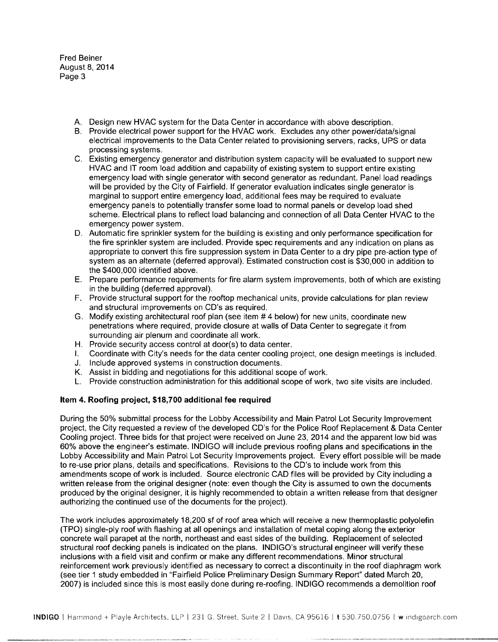Fred Beiner August 8, 2014 Page 3

- A. Design new HVAC system for the Data Center in accordance with above description.
- B. Provide electrical power support for the HVAC work. Excludes any other power/data/signal electrical improvements to the Data Center related to provisioning servers, racks, UPS or data processing systems.
- C. Existing emergency generator and distribution system capacity will be evaluated to support new HVAC and IT room load addition and capability of existing system to support entire existing emergency load with single generator with second generator as redundant. Panel load readings will be provided by the City of Fairfield. If generator evaluation indicates single generator is marginal to support entire emergency load, additional fees may be required to evaluate emergency panels to potentially transfer some load to normal panels or develop load shed scheme. Electrical plans to reflect load balancing and connection of all Data Center HVAC to the emergency power system.
- D. Automatic fire sprinkler system for the building is existing and only performance specification for the fire sprinkler system are included. Provide spec requirements and any indication on plans as appropriate to convert this fire suppression system in Data Center to <sup>a</sup> dry pipe pre- action type of system as an alternate (deferred approval). Estimated construction cost is \$30,000 in addition to the \$400,000 identified above.
- E. Prepare performance requirements for fire alarm system improvements, both of which are existing in the building (deferred approval).
- F. Provide structural support for the rooftop mechanical units, provide calculations for plan review and structural improvements on CD's as required.
- G. Modify existing architectural roof plan (see item <sup>4</sup> below) for new units, coordinate new penetrations where required, provide closure at walls of Data Center to segregate it from surrounding air plenum and coordinate all work.
- H. Provide security access control at door(s) to data center.
- I. Coordinate with City's needs for the data center cooling project, one design meetings is included.
- J. Include approved systems in construction documents.
- K. Assist in bidding and negotiations for this additional scope of work.
- L. Provide construction administration for this additional scope of work, two site visits are included.

### Item 4. Roofing project, \$18,700 additional fee required

During the 50% submittal process for the Lobby Accessibility and Main Patrol Lot Security Improvement project, the City requested a review of the developed CD's for the Police Roof Replacement & Data Center Cooling project. Three bids for that project were received on June 23, 2014 and the apparent low bid was 60% above the engineer's estimate. INDIGO will include previous roofing plans and specifications in the Lobby Accessibility and Main Patrol Lot Security Improvements project. Every effort possible will be made to re -use prior plans, details and specifications. Revisions to the CD's to include work from this amendments scope of work is included. Source electronic CAD files will be provided by City including a written release from the original designer (note: even though the City is assumed to own the documents produced by the original designer, it is highly recommended to obtain <sup>a</sup> written release from that designer authorizing the continued use of the documents for the project).

The work includes approximately 18,200 sf of roof area which will receive <sup>a</sup> new thermoplastic polyolefin TPO) single -ply roof with flashing at all openings and installation of metal coping along the exterior concrete wall parapet at the north, northeast and east sides of the building. Replacement of selected (TPO) single-ply roof with flashing at all openings and installation of metal coping along the exterior<br>concrete wall parapet at the north, northeast and east sides of the building. Replacement of selected<br>structural roof inclusions with a field visit and confirm or make any different recommendations. Minor structural reinforcement work previously identified as necessary to correct <sup>a</sup> discontinuity in the roof diaphragm work see tier <sup>1</sup> study embedded in "Fairfield Police Preliminary Design Summary Report" dated March 20, 2007) is included since this is most easily done during re- roofing. INDIGO recommends <sup>a</sup> demolition roof